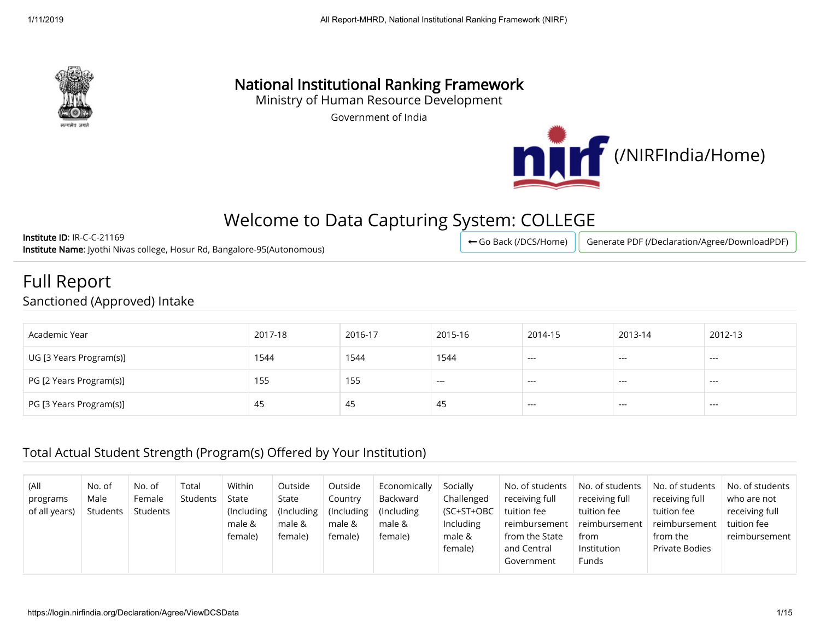

# National Institutional Ranking Framework

Ministry of Human Resource Development

Government of India



# Welcome to Data Capturing System: COLLEGE

Institute ID: IR-C-C-21169 Institute Name: Jyothi Nivas college, Hosur Rd, Bangalore-95(Autonomous)

Go Back (/DCS/Home) | [Generate PDF \(/Declaration/Agree/DownloadPDF\)](https://login.nirfindia.org/Declaration/Agree/DownloadPDF)

### Full Report Sanctioned (Approved) Intake

| Academic Year           | 2017-18 | 2016-17 | 2015-16 | 2014-15       | 2013-14 | 2012-13                |
|-------------------------|---------|---------|---------|---------------|---------|------------------------|
| UG [3 Years Program(s)] | 1544    | 1544    | 1544    | $- - -$       | ---     | $--$                   |
| PG [2 Years Program(s)] | 155     | 155     | $---$   | $\sim$ $\sim$ | $---$   | $\qquad \qquad \cdots$ |
| PG [3 Years Program(s)] | 45      | 45      | 45      | $--$          | $- - -$ | $---$                  |

#### Total Actual Student Strength (Program(s) Offered by Your Institution)

| (All<br>programs<br>of all years) | No. of<br>Male<br>Students | No. of<br>Female<br><b>Students</b> | Total<br>Students | Within<br>State<br>$($ Including $ $<br>male &<br>female) | Outside<br>State<br>(Including)<br>male &<br>female) | Outside<br>Country<br>$($ Including<br>male &<br>female) | Economically<br>Backward<br>(Including)<br>male &<br>female) | Socially<br>Challenged<br>(SC+ST+OBC<br>Including<br>male &<br>female) | No. of students<br>receiving full<br>tuition fee<br>$\lceil$ reimbursement $\lceil$<br>from the State<br>and Central | No. of students<br>receiving full<br>tuition fee<br>reimbursement<br>from<br>Institution | No. of students<br>receiving full<br>tuition fee<br>reimbursement<br>from the<br><b>Private Bodies</b> | No. of students<br>who are not<br>receiving full<br>tuition fee<br>reimbursement |
|-----------------------------------|----------------------------|-------------------------------------|-------------------|-----------------------------------------------------------|------------------------------------------------------|----------------------------------------------------------|--------------------------------------------------------------|------------------------------------------------------------------------|----------------------------------------------------------------------------------------------------------------------|------------------------------------------------------------------------------------------|--------------------------------------------------------------------------------------------------------|----------------------------------------------------------------------------------|
|                                   |                            |                                     |                   |                                                           |                                                      |                                                          |                                                              |                                                                        | Government                                                                                                           | Funds                                                                                    |                                                                                                        |                                                                                  |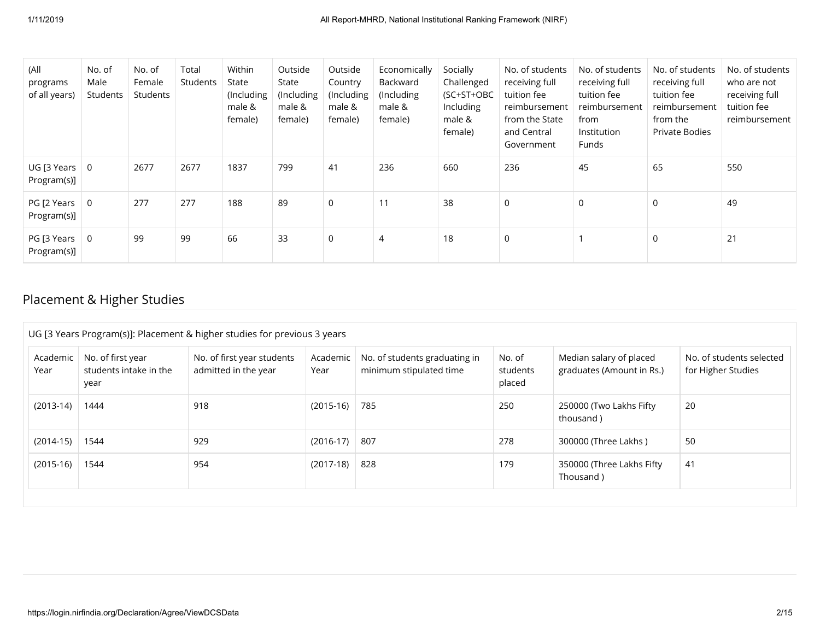| (All<br>programs<br>of all years)          | No. of<br>Male<br>Students | No. of<br>Female<br>Students | Total<br>Students | Within<br>State<br>(Including<br>male &<br>female) | Outside<br>State<br>(Including<br>male &<br>female) | Outside<br>Country<br>(Including<br>male &<br>female) | Economically<br>Backward<br>(Including<br>male &<br>female) | Socially<br>Challenged<br>(SC+ST+OBC<br>Including<br>male &<br>female) | No. of students<br>receiving full<br>tuition fee<br>reimbursement<br>from the State<br>and Central<br>Government | No. of students<br>receiving full<br>tuition fee<br>reimbursement<br>from<br>Institution<br>Funds | No. of students<br>receiving full<br>tuition fee<br>reimbursement<br>from the<br>Private Bodies | No. of students<br>who are not<br>receiving full<br>tuition fee<br>reimbursement |
|--------------------------------------------|----------------------------|------------------------------|-------------------|----------------------------------------------------|-----------------------------------------------------|-------------------------------------------------------|-------------------------------------------------------------|------------------------------------------------------------------------|------------------------------------------------------------------------------------------------------------------|---------------------------------------------------------------------------------------------------|-------------------------------------------------------------------------------------------------|----------------------------------------------------------------------------------|
| $UG$ [3 Years $ $<br>Program(s)]           | $\overline{0}$             | 2677                         | 2677              | 1837                                               | 799                                                 | 41                                                    | 236                                                         | 660                                                                    | 236                                                                                                              | 45                                                                                                | 65                                                                                              | 550                                                                              |
| PG [2 Years $\vert 0 \vert$<br>Program(s)] |                            | 277                          | 277               | 188                                                | 89                                                  | $\mathsf{O}$                                          |                                                             | 38                                                                     | 0                                                                                                                | $\mathbf 0$                                                                                       | $\mathbf 0$                                                                                     | 49                                                                               |
| $PG$ [3 Years $\parallel$<br>Program(s)]   | $\overline{0}$             | 99                           | 99                | 66                                                 | 33                                                  | 0                                                     | $\overline{4}$                                              | 18                                                                     | 0                                                                                                                |                                                                                                   | $\Omega$                                                                                        | 21                                                                               |

### Placement & Higher Studies

| UG [3 Years Program(s)]: Placement & higher studies for previous 3 years |                                                     |                                                    |                  |                                                          |                              |                                                      |                                                |  |  |  |  |
|--------------------------------------------------------------------------|-----------------------------------------------------|----------------------------------------------------|------------------|----------------------------------------------------------|------------------------------|------------------------------------------------------|------------------------------------------------|--|--|--|--|
| Academic<br>Year                                                         | No. of first year<br>students intake in the<br>year | No. of first year students<br>admitted in the year | Academic<br>Year | No. of students graduating in<br>minimum stipulated time | No. of<br>students<br>placed | Median salary of placed<br>graduates (Amount in Rs.) | No. of students selected<br>for Higher Studies |  |  |  |  |
| $(2013-14)$                                                              | 1444                                                | 918                                                | $(2015-16)$      | 785                                                      | 250                          | 250000 (Two Lakhs Fifty<br>thousand)                 | 20                                             |  |  |  |  |
| $(2014-15)$                                                              | 1544                                                | 929                                                | $(2016-17)$      | 807                                                      | 278                          | 300000 (Three Lakhs)                                 | 50                                             |  |  |  |  |
| $(2015-16)$                                                              | 1544                                                | 954                                                | $(2017-18)$      | 828                                                      | 179                          | 350000 (Three Lakhs Fifty<br>Thousand)               | 41                                             |  |  |  |  |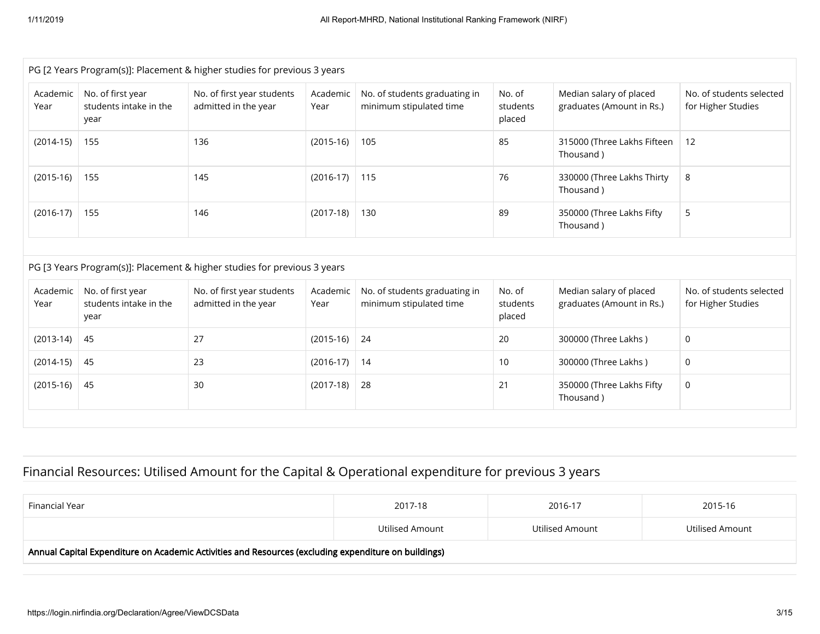|                                                                                                      |                                                     | PG [2 Years Program(s)]: Placement & higher studies for previous 3 years |                  |                                                          |                              |                                                      |                                                |  |  |  |  |  |
|------------------------------------------------------------------------------------------------------|-----------------------------------------------------|--------------------------------------------------------------------------|------------------|----------------------------------------------------------|------------------------------|------------------------------------------------------|------------------------------------------------|--|--|--|--|--|
| Academic<br>Year                                                                                     | No. of first year<br>students intake in the<br>year | No. of first year students<br>admitted in the year                       | Academic<br>Year | No. of students graduating in<br>minimum stipulated time | No. of<br>students<br>placed | Median salary of placed<br>graduates (Amount in Rs.) | No. of students selected<br>for Higher Studies |  |  |  |  |  |
| $(2014-15)$                                                                                          | 136<br>155                                          |                                                                          | $(2015-16)$      | 105                                                      | 85                           | 315000 (Three Lakhs Fifteen<br>Thousand)             | 12                                             |  |  |  |  |  |
| $(2015-16)$                                                                                          | 155                                                 | 145                                                                      | $(2016-17)$      | 115                                                      | 76                           | 330000 (Three Lakhs Thirty<br>Thousand)              | 8                                              |  |  |  |  |  |
| $(2017-18)$<br>89<br>5<br>$(2016-17)$<br>155<br>146<br>130<br>350000 (Three Lakhs Fifty<br>Thousand) |                                                     |                                                                          |                  |                                                          |                              |                                                      |                                                |  |  |  |  |  |
|                                                                                                      |                                                     |                                                                          |                  |                                                          |                              |                                                      |                                                |  |  |  |  |  |
|                                                                                                      |                                                     | PG [3 Years Program(s)]: Placement & higher studies for previous 3 years |                  |                                                          |                              |                                                      |                                                |  |  |  |  |  |
| Academic<br>Year                                                                                     | No. of first year<br>students intake in the<br>year | No. of first year students<br>admitted in the year                       | Academic<br>Year | No. of students graduating in<br>minimum stipulated time | No. of<br>students<br>placed | Median salary of placed<br>graduates (Amount in Rs.) | No. of students selected<br>for Higher Studies |  |  |  |  |  |
| $(2013-14)$                                                                                          | 45                                                  | 27                                                                       | $(2015-16)$      | 24                                                       | 20                           | 300000 (Three Lakhs)                                 | 0                                              |  |  |  |  |  |
| $(2014-15)$                                                                                          | 45                                                  | 23                                                                       | $(2016-17)$      | 14                                                       | 10                           | 300000 (Three Lakhs)                                 | 0                                              |  |  |  |  |  |
| $(2015-16)$                                                                                          | 45                                                  | 30                                                                       | $(2017-18)$      | 28                                                       | 21                           | 350000 (Three Lakhs Fifty<br>Thousand)               | $\Omega$                                       |  |  |  |  |  |
|                                                                                                      |                                                     |                                                                          |                  |                                                          |                              |                                                      |                                                |  |  |  |  |  |

## Financial Resources: Utilised Amount for the Capital & Operational expenditure for previous 3 years

| Financial Year                                                                                       | 2017-18         | 2016-17         | 2015-16         |  |  |  |  |  |  |
|------------------------------------------------------------------------------------------------------|-----------------|-----------------|-----------------|--|--|--|--|--|--|
|                                                                                                      | Utilised Amount | Utilised Amount | Utilised Amount |  |  |  |  |  |  |
| Annual Capital Expenditure on Academic Activities and Resources (excluding expenditure on buildings) |                 |                 |                 |  |  |  |  |  |  |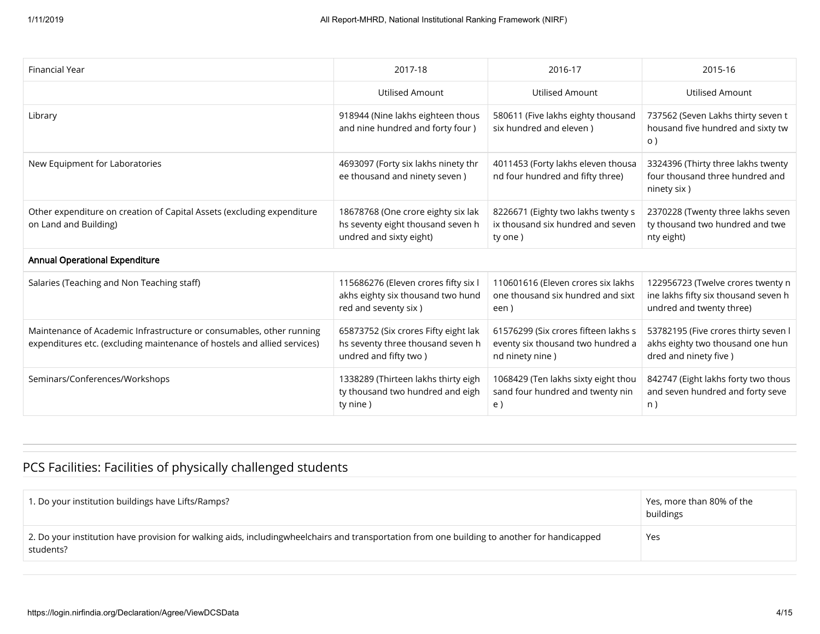| <b>Financial Year</b>                                                                                                                            | 2017-18                                                                                             | 2016-17                                                                                      | 2015-16                                                                                               |
|--------------------------------------------------------------------------------------------------------------------------------------------------|-----------------------------------------------------------------------------------------------------|----------------------------------------------------------------------------------------------|-------------------------------------------------------------------------------------------------------|
|                                                                                                                                                  | Utilised Amount                                                                                     | <b>Utilised Amount</b>                                                                       | <b>Utilised Amount</b>                                                                                |
| Library                                                                                                                                          | 918944 (Nine lakhs eighteen thous<br>and nine hundred and forty four )                              | 580611 (Five lakhs eighty thousand<br>six hundred and eleven )                               | 737562 (Seven Lakhs thirty seven t<br>housand five hundred and sixty tw<br>$\circ$ )                  |
| New Equipment for Laboratories                                                                                                                   | 4693097 (Forty six lakhs ninety thr<br>ee thousand and ninety seven)                                | 4011453 (Forty lakhs eleven thousa<br>nd four hundred and fifty three)                       | 3324396 (Thirty three lakhs twenty<br>four thousand three hundred and<br>ninety six)                  |
| Other expenditure on creation of Capital Assets (excluding expenditure<br>on Land and Building)                                                  | 18678768 (One crore eighty six lak<br>hs seventy eight thousand seven h<br>undred and sixty eight)  | 8226671 (Eighty two lakhs twenty s<br>ix thousand six hundred and seven<br>ty one)           | 2370228 (Twenty three lakhs seven<br>ty thousand two hundred and twe<br>nty eight)                    |
| <b>Annual Operational Expenditure</b>                                                                                                            |                                                                                                     |                                                                                              |                                                                                                       |
| Salaries (Teaching and Non Teaching staff)                                                                                                       | 115686276 (Eleven crores fifty six I<br>akhs eighty six thousand two hund<br>red and seventy six)   | 110601616 (Eleven crores six lakhs<br>one thousand six hundred and sixt<br>een)              | 122956723 (Twelve crores twenty n<br>ine lakhs fifty six thousand seven h<br>undred and twenty three) |
| Maintenance of Academic Infrastructure or consumables, other running<br>expenditures etc. (excluding maintenance of hostels and allied services) | 65873752 (Six crores Fifty eight lak<br>hs seventy three thousand seven h<br>undred and fifty two ) | 61576299 (Six crores fifteen lakhs s<br>eventy six thousand two hundred a<br>nd ninety nine) | 53782195 (Five crores thirty seven l<br>akhs eighty two thousand one hun<br>dred and ninety five)     |
| Seminars/Conferences/Workshops                                                                                                                   | 1338289 (Thirteen lakhs thirty eigh<br>ty thousand two hundred and eigh<br>ty nine)                 | 1068429 (Ten lakhs sixty eight thou<br>sand four hundred and twenty nin<br>e)                | 842747 (Eight lakhs forty two thous<br>and seven hundred and forty seve<br>n)                         |

## PCS Facilities: Facilities of physically challenged students

| 1. Do your institution buildings have Lifts/Ramps?                                                                                                        | Yes, more than 80% of the<br>buildings |
|-----------------------------------------------------------------------------------------------------------------------------------------------------------|----------------------------------------|
| 2. Do your institution have provision for walking aids, includingwheelchairs and transportation from one building to another for handicapped<br>students? | Yes                                    |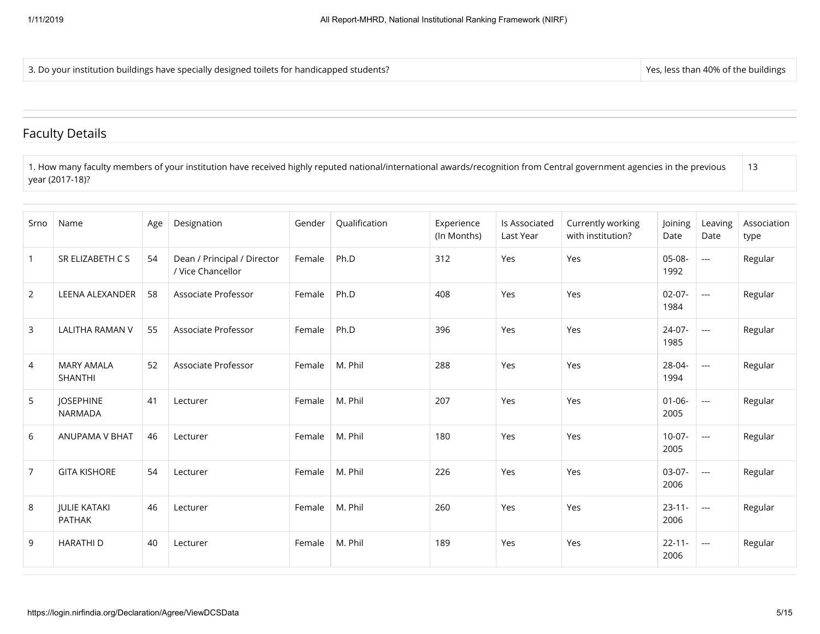3. Do your institution buildings have specially designed toilets for handicapped students? Yes, less than 40% of the buildings in the buildings

#### Faculty Details

1. How many faculty members of your institution have received highly reputed national/international awards/recognition from Central government agencies in the previous year (2017-18)? 13

| Srno           | Name                                 | Age | Designation                                      | Gender | Qualification | Experience<br>(In Months) | Is Associated<br>Last Year | Currently working<br>with institution? | Joining<br>Date     | Leaving<br>Date          | Association<br>type |
|----------------|--------------------------------------|-----|--------------------------------------------------|--------|---------------|---------------------------|----------------------------|----------------------------------------|---------------------|--------------------------|---------------------|
| $\mathbf 1$    | SR ELIZABETH C S                     | 54  | Dean / Principal / Director<br>/ Vice Chancellor | Female | Ph.D          | 312                       | Yes                        | Yes                                    | $05-08-$<br>1992    | $\overline{a}$           | Regular             |
| $\overline{2}$ | <b>LEENA ALEXANDER</b>               | 58  | Associate Professor                              | Female | Ph.D          | 408                       | Yes                        | Yes                                    | $02 - 07 -$<br>1984 | $\sim$                   | Regular             |
| 3              | <b>LALITHA RAMAN V</b>               | 55  | Associate Professor                              | Female | Ph.D          | 396                       | Yes                        | Yes                                    | $24-07-$<br>1985    | $\sim$ $\sim$            | Regular             |
| $\overline{4}$ | <b>MARY AMALA</b><br><b>SHANTHI</b>  | 52  | Associate Professor                              | Female | M. Phil       | 288                       | Yes                        | Yes                                    | 28-04-<br>1994      | $\sim$                   | Regular             |
| 5              | <b>JOSEPHINE</b><br><b>NARMADA</b>   | 41  | Lecturer                                         | Female | M. Phil       | 207                       | Yes                        | Yes                                    | $01 - 06 -$<br>2005 | $\overline{a}$           | Regular             |
| 6              | <b>ANUPAMA V BHAT</b>                | 46  | Lecturer                                         | Female | M. Phil       | 180                       | Yes                        | Yes                                    | $10-07 -$<br>2005   | $\sim$ $\sim$            | Regular             |
| $\overline{7}$ | <b>GITA KISHORE</b>                  | 54  | Lecturer                                         | Female | M. Phil       | 226                       | Yes                        | Yes                                    | $03-07-$<br>2006    | $\sim$                   | Regular             |
| 8              | <b>JULIE KATAKI</b><br><b>PATHAK</b> | 46  | Lecturer                                         | Female | M. Phil       | 260                       | Yes                        | Yes                                    | $23 - 11 -$<br>2006 | $\sim$                   | Regular             |
| 9              | <b>HARATHID</b>                      | 40  | Lecturer                                         | Female | M. Phil       | 189                       | Yes                        | Yes                                    | $22 - 11 -$<br>2006 | $\overline{\phantom{a}}$ | Regular             |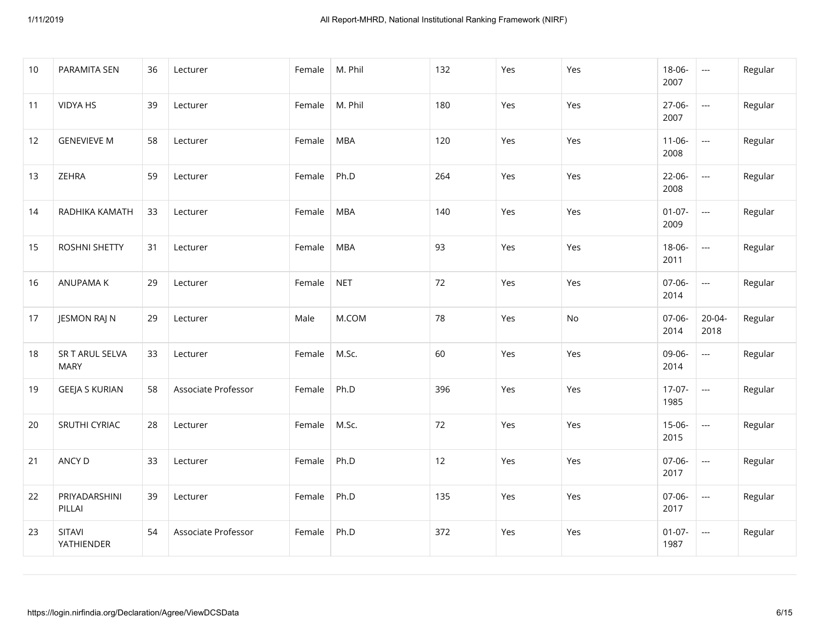| 10 | PARAMITA SEN                   | 36 | Lecturer            | Female | M. Phil    | 132 | Yes | Yes | 18-06-<br>2007      | $\overline{a}$             | Regular |
|----|--------------------------------|----|---------------------|--------|------------|-----|-----|-----|---------------------|----------------------------|---------|
| 11 | <b>VIDYA HS</b>                | 39 | Lecturer            | Female | M. Phil    | 180 | Yes | Yes | 27-06-<br>2007      | $\overline{\phantom{a}}$   | Regular |
| 12 | <b>GENEVIEVE M</b>             | 58 | Lecturer            | Female | <b>MBA</b> | 120 | Yes | Yes | $11 - 06 -$<br>2008 | $\sim$                     | Regular |
| 13 | ZEHRA                          | 59 | Lecturer            | Female | Ph.D       | 264 | Yes | Yes | $22 - 06 -$<br>2008 | $\overline{\phantom{a}}$   | Regular |
| 14 | RADHIKA KAMATH                 | 33 | Lecturer            | Female | <b>MBA</b> | 140 | Yes | Yes | $01 - 07 -$<br>2009 | $\overline{a}$             | Regular |
| 15 | <b>ROSHNI SHETTY</b>           | 31 | Lecturer            | Female | <b>MBA</b> | 93  | Yes | Yes | 18-06-<br>2011      | $\mathcal{L}_{\text{max}}$ | Regular |
| 16 | ANUPAMA K                      | 29 | Lecturer            | Female | <b>NET</b> | 72  | Yes | Yes | 07-06-<br>2014      | $\overline{a}$             | Regular |
| 17 | JESMON RAJ N                   | 29 | Lecturer            | Male   | M.COM      | 78  | Yes | No  | 07-06-<br>2014      | $20 - 04 -$<br>2018        | Regular |
| 18 | SR T ARUL SELVA<br><b>MARY</b> | 33 | Lecturer            | Female | M.Sc.      | 60  | Yes | Yes | 09-06-<br>2014      | ---                        | Regular |
| 19 | <b>GEEJA S KURIAN</b>          | 58 | Associate Professor | Female | Ph.D       | 396 | Yes | Yes | $17-07-$<br>1985    | $\overline{a}$             | Regular |
| 20 | SRUTHI CYRIAC                  | 28 | Lecturer            | Female | M.Sc.      | 72  | Yes | Yes | $15-06-$<br>2015    | $\overline{\phantom{a}}$   | Regular |
| 21 | ANCY D                         | 33 | Lecturer            | Female | Ph.D       | 12  | Yes | Yes | 07-06-<br>2017      | $---$                      | Regular |
| 22 | PRIYADARSHINI<br>PILLAI        | 39 | Lecturer            | Female | Ph.D       | 135 | Yes | Yes | 07-06-<br>2017      | $\overline{a}$             | Regular |
| 23 | SITAVI<br>YATHIENDER           | 54 | Associate Professor | Female | Ph.D       | 372 | Yes | Yes | $01-07-$<br>1987    | $\hspace{0.05cm} \ldots$   | Regular |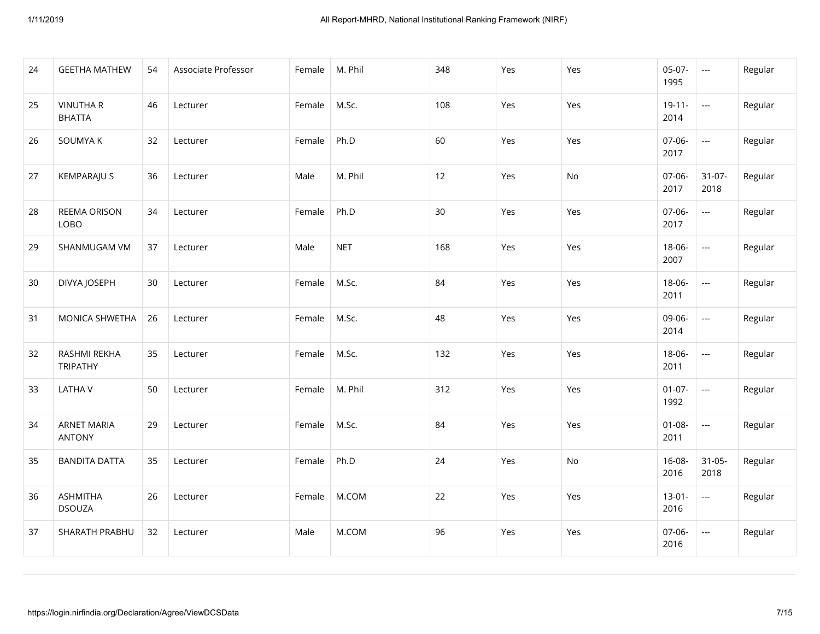| 24 | <b>GEETHA MATHEW</b>                | 54 | Associate Professor | Female | M. Phil    | 348 | Yes | Yes           | $05-07-$<br>1995    | $\overline{\phantom{a}}$                                                                       | Regular |
|----|-------------------------------------|----|---------------------|--------|------------|-----|-----|---------------|---------------------|------------------------------------------------------------------------------------------------|---------|
| 25 | <b>VINUTHAR</b><br><b>BHATTA</b>    | 46 | Lecturer            | Female | M.Sc.      | 108 | Yes | Yes           | $19 - 11 -$<br>2014 | $\overline{a}$                                                                                 | Regular |
| 26 | SOUMYA K                            | 32 | Lecturer            | Female | Ph.D       | 60  | Yes | Yes           | $07-06-$<br>2017    | $\frac{1}{2} \left( \frac{1}{2} \right) \left( \frac{1}{2} \right) \left( \frac{1}{2} \right)$ | Regular |
| 27 | <b>KEMPARAJU S</b>                  | 36 | Lecturer            | Male   | M. Phil    | 12  | Yes | $\mathsf{No}$ | 07-06-<br>2017      | $31-07-$<br>2018                                                                               | Regular |
| 28 | <b>REEMA ORISON</b><br>LOBO         | 34 | Lecturer            | Female | Ph.D       | 30  | Yes | Yes           | 07-06-<br>2017      | $\overline{\phantom{a}}$                                                                       | Regular |
| 29 | SHANMUGAM VM                        | 37 | Lecturer            | Male   | <b>NET</b> | 168 | Yes | Yes           | 18-06-<br>2007      | ---                                                                                            | Regular |
| 30 | DIVYA JOSEPH                        | 30 | Lecturer            | Female | M.Sc.      | 84  | Yes | Yes           | 18-06-<br>2011      | $\overline{a}$                                                                                 | Regular |
| 31 | MONICA SHWETHA                      | 26 | Lecturer            | Female | M.Sc.      | 48  | Yes | Yes           | 09-06-<br>2014      | $\frac{1}{2} \left( \frac{1}{2} \right) \left( \frac{1}{2} \right) \left( \frac{1}{2} \right)$ | Regular |
| 32 | RASHMI REKHA<br><b>TRIPATHY</b>     | 35 | Lecturer            | Female | M.Sc.      | 132 | Yes | Yes           | $18 - 06 -$<br>2011 | $\overline{\phantom{a}}$                                                                       | Regular |
| 33 | <b>LATHAV</b>                       | 50 | Lecturer            | Female | M. Phil    | 312 | Yes | Yes           | $01 - 07 -$<br>1992 | $\overline{\phantom{a}}$                                                                       | Regular |
| 34 | <b>ARNET MARIA</b><br><b>ANTONY</b> | 29 | Lecturer            | Female | M.Sc.      | 84  | Yes | Yes           | $01 - 08 -$<br>2011 | $\overline{\phantom{a}}$                                                                       | Regular |
| 35 | <b>BANDITA DATTA</b>                | 35 | Lecturer            | Female | Ph.D       | 24  | Yes | No            | $16 - 08 -$<br>2016 | $31 - 05 -$<br>2018                                                                            | Regular |
| 36 | <b>ASHMITHA</b><br><b>DSOUZA</b>    | 26 | Lecturer            | Female | M.COM      | 22  | Yes | Yes           | $13 - 01 -$<br>2016 | $\overline{\phantom{a}}$                                                                       | Regular |
| 37 | SHARATH PRABHU                      | 32 | Lecturer            | Male   | M.COM      | 96  | Yes | Yes           | 07-06-<br>2016      | $\overline{\phantom{a}}$                                                                       | Regular |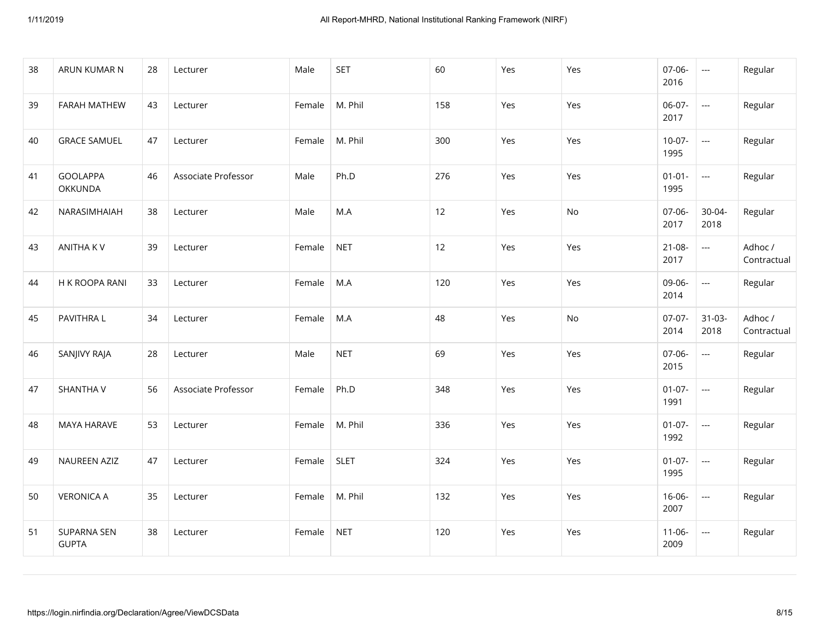| 38 | ARUN KUMAR N                | 28 | Lecturer            | Male   | <b>SET</b>  | 60  | Yes | Yes | 07-06-<br>2016      | $\overline{a}$            | Regular                |
|----|-----------------------------|----|---------------------|--------|-------------|-----|-----|-----|---------------------|---------------------------|------------------------|
| 39 | FARAH MATHEW                | 43 | Lecturer            | Female | M. Phil     | 158 | Yes | Yes | 06-07-<br>2017      | $\frac{1}{2}$             | Regular                |
| 40 | <b>GRACE SAMUEL</b>         | 47 | Lecturer            | Female | M. Phil     | 300 | Yes | Yes | $10-07-$<br>1995    | $\overline{\phantom{a}}$  | Regular                |
| 41 | <b>GOOLAPPA</b><br>OKKUNDA  | 46 | Associate Professor | Male   | Ph.D        | 276 | Yes | Yes | $01 - 01 -$<br>1995 | ---                       | Regular                |
| 42 | NARASIMHAIAH                | 38 | Lecturer            | Male   | M.A         | 12  | Yes | No  | 07-06-<br>2017      | $30 - 04 -$<br>2018       | Regular                |
| 43 | <b>ANITHAKV</b>             | 39 | Lecturer            | Female | <b>NET</b>  | 12  | Yes | Yes | $21 - 08 -$<br>2017 | $---$                     | Adhoc /<br>Contractual |
| 44 | H K ROOPA RANI              | 33 | Lecturer            | Female | M.A         | 120 | Yes | Yes | 09-06-<br>2014      | $\overline{a}$            | Regular                |
| 45 | PAVITHRA L                  | 34 | Lecturer            | Female | M.A         | 48  | Yes | No  | $07-07-$<br>2014    | $31 - 03 -$<br>2018       | Adhoc /<br>Contractual |
| 46 | SANJIVY RAJA                | 28 | Lecturer            | Male   | <b>NET</b>  | 69  | Yes | Yes | 07-06-<br>2015      | ---                       | Regular                |
| 47 | <b>SHANTHA V</b>            | 56 | Associate Professor | Female | Ph.D        | 348 | Yes | Yes | $01-07-$<br>1991    | $\mathbb{H}^{\mathbb{H}}$ | Regular                |
| 48 | MAYA HARAVE                 | 53 | Lecturer            | Female | M. Phil     | 336 | Yes | Yes | $01 - 07 -$<br>1992 | $\overline{\phantom{a}}$  | Regular                |
| 49 | NAUREEN AZIZ                | 47 | Lecturer            | Female | <b>SLET</b> | 324 | Yes | Yes | $01-07-$<br>1995    | $\overline{a}$            | Regular                |
| 50 | <b>VERONICA A</b>           | 35 | Lecturer            | Female | M. Phil     | 132 | Yes | Yes | $16 - 06 -$<br>2007 | $\overline{a}$            | Regular                |
| 51 | SUPARNA SEN<br><b>GUPTA</b> | 38 | Lecturer            | Female | <b>NET</b>  | 120 | Yes | Yes | $11 - 06 -$<br>2009 | $\hspace{0.05cm} \ldots$  | Regular                |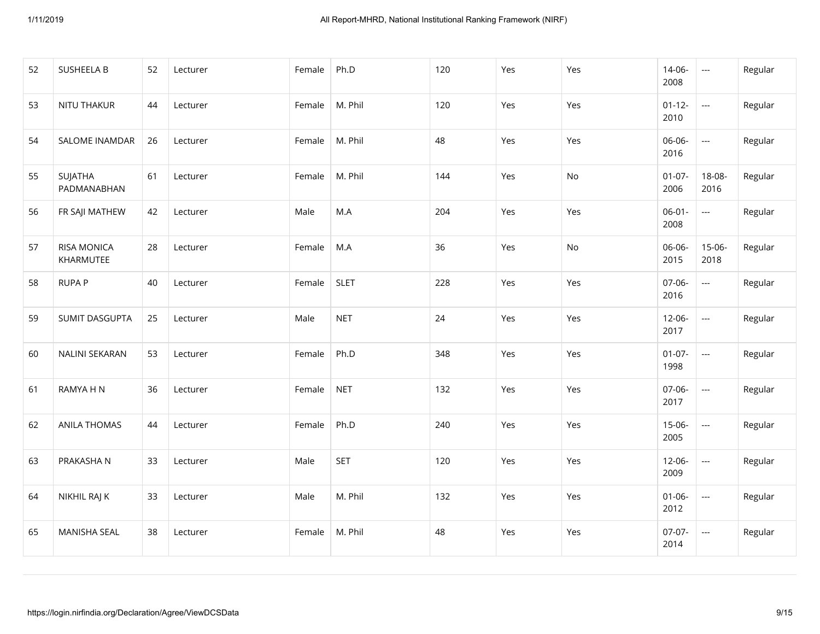| 52 | <b>SUSHEELA B</b>               | 52 | Lecturer | Female | Ph.D        | 120 | Yes | Yes | 14-06-<br>2008      | $\overline{\phantom{a}}$ | Regular |
|----|---------------------------------|----|----------|--------|-------------|-----|-----|-----|---------------------|--------------------------|---------|
| 53 | NITU THAKUR                     | 44 | Lecturer | Female | M. Phil     | 120 | Yes | Yes | $01 - 12 -$<br>2010 | $\overline{\phantom{a}}$ | Regular |
| 54 | SALOME INAMDAR                  | 26 | Lecturer | Female | M. Phil     | 48  | Yes | Yes | 06-06-<br>2016      | $\overline{a}$           | Regular |
| 55 | SUJATHA<br>PADMANABHAN          | 61 | Lecturer | Female | M. Phil     | 144 | Yes | No  | $01 - 07 -$<br>2006 | 18-08-<br>2016           | Regular |
| 56 | FR SAJI MATHEW                  | 42 | Lecturer | Male   | M.A         | 204 | Yes | Yes | $06 - 01 -$<br>2008 | $\overline{\phantom{a}}$ | Regular |
| 57 | <b>RISA MONICA</b><br>KHARMUTEE | 28 | Lecturer | Female | M.A         | 36  | Yes | No  | 06-06-<br>2015      | $15 - 06 -$<br>2018      | Regular |
| 58 | <b>RUPAP</b>                    | 40 | Lecturer | Female | <b>SLET</b> | 228 | Yes | Yes | 07-06-<br>2016      | $\sim$                   | Regular |
| 59 | SUMIT DASGUPTA                  | 25 | Lecturer | Male   | <b>NET</b>  | 24  | Yes | Yes | $12 - 06 -$<br>2017 | $\overline{\phantom{a}}$ | Regular |
| 60 | NALINI SEKARAN                  | 53 | Lecturer | Female | Ph.D        | 348 | Yes | Yes | $01-07-$<br>1998    | $\overline{a}$           | Regular |
| 61 | RAMYA H N                       | 36 | Lecturer | Female | <b>NET</b>  | 132 | Yes | Yes | 07-06-<br>2017      | $\overline{\phantom{a}}$ | Regular |
| 62 | ANILA THOMAS                    | 44 | Lecturer | Female | Ph.D        | 240 | Yes | Yes | $15-06-$<br>2005    | $\overline{\phantom{a}}$ | Regular |
| 63 | PRAKASHA N                      | 33 | Lecturer | Male   | <b>SET</b>  | 120 | Yes | Yes | $12 - 06 -$<br>2009 | $\overline{a}$           | Regular |
| 64 | NIKHIL RAJ K                    | 33 | Lecturer | Male   | M. Phil     | 132 | Yes | Yes | $01 - 06 -$<br>2012 | $\overline{\phantom{a}}$ | Regular |
| 65 | MANISHA SEAL                    | 38 | Lecturer | Female | M. Phil     | 48  | Yes | Yes | $07-07-$<br>2014    | $\overline{\phantom{a}}$ | Regular |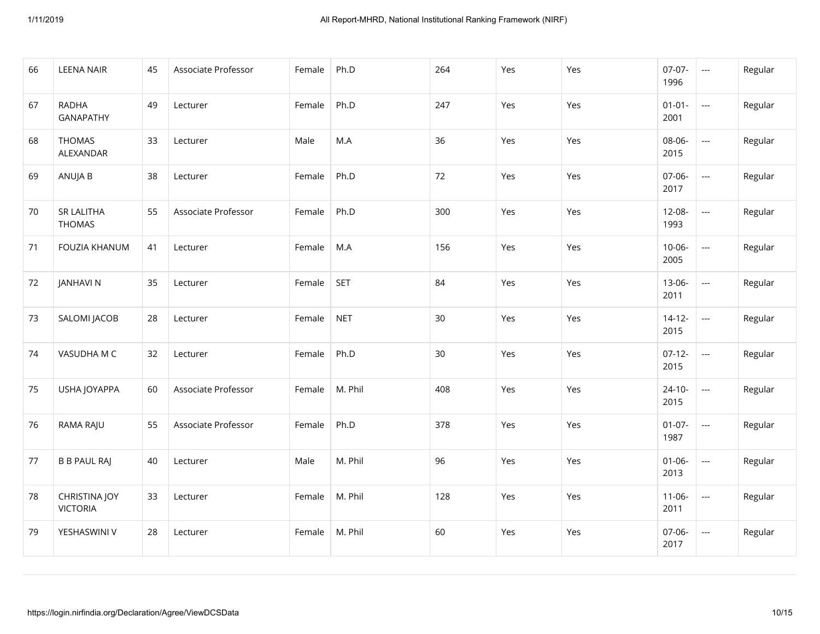| 66 | <b>LEENA NAIR</b>                | 45 | Associate Professor | Female | Ph.D       | 264 | Yes | Yes | $07-07-$<br>1996    | $\overline{\phantom{a}}$ | Regular |
|----|----------------------------------|----|---------------------|--------|------------|-----|-----|-----|---------------------|--------------------------|---------|
| 67 | <b>RADHA</b><br><b>GANAPATHY</b> | 49 | Lecturer            | Female | Ph.D       | 247 | Yes | Yes | $01 - 01 -$<br>2001 | $\overline{\phantom{a}}$ | Regular |
| 68 | <b>THOMAS</b><br>ALEXANDAR       | 33 | Lecturer            | Male   | M.A        | 36  | Yes | Yes | 08-06-<br>2015      | $\overline{a}$           | Regular |
| 69 | ANUJA B                          | 38 | Lecturer            | Female | Ph.D       | 72  | Yes | Yes | 07-06-<br>2017      | $\overline{\phantom{a}}$ | Regular |
| 70 | SR LALITHA<br><b>THOMAS</b>      | 55 | Associate Professor | Female | Ph.D       | 300 | Yes | Yes | $12 - 08 -$<br>1993 | $\overline{\phantom{a}}$ | Regular |
| 71 | FOUZIA KHANUM                    | 41 | Lecturer            | Female | M.A        | 156 | Yes | Yes | $10 - 06 -$<br>2005 | $\overline{a}$           | Regular |
| 72 | <b>JANHAVI N</b>                 | 35 | Lecturer            | Female | <b>SET</b> | 84  | Yes | Yes | 13-06-<br>2011      | $\overline{\phantom{a}}$ | Regular |
| 73 | SALOMI JACOB                     | 28 | Lecturer            | Female | <b>NET</b> | 30  | Yes | Yes | $14 - 12 -$<br>2015 | $\overline{\phantom{a}}$ | Regular |
| 74 | VASUDHA M C                      | 32 | Lecturer            | Female | Ph.D       | 30  | Yes | Yes | $07 - 12 -$<br>2015 | $\overline{\phantom{a}}$ | Regular |
| 75 | USHA JOYAPPA                     | 60 | Associate Professor | Female | M. Phil    | 408 | Yes | Yes | $24 - 10 -$<br>2015 | $\overline{\phantom{a}}$ | Regular |
| 76 | RAMA RAJU                        | 55 | Associate Professor | Female | Ph.D       | 378 | Yes | Yes | $01-07-$<br>1987    | $\overline{\phantom{a}}$ | Regular |
| 77 | <b>B B PAUL RAJ</b>              | 40 | Lecturer            | Male   | M. Phil    | 96  | Yes | Yes | $01 - 06 -$<br>2013 | $\overline{\phantom{a}}$ | Regular |
| 78 | CHRISTINA JOY<br><b>VICTORIA</b> | 33 | Lecturer            | Female | M. Phil    | 128 | Yes | Yes | $11 - 06 -$<br>2011 | $\overline{\phantom{a}}$ | Regular |
| 79 | YESHASWINI V                     | 28 | Lecturer            | Female | M. Phil    | 60  | Yes | Yes | 07-06-<br>2017      | $\sim$                   | Regular |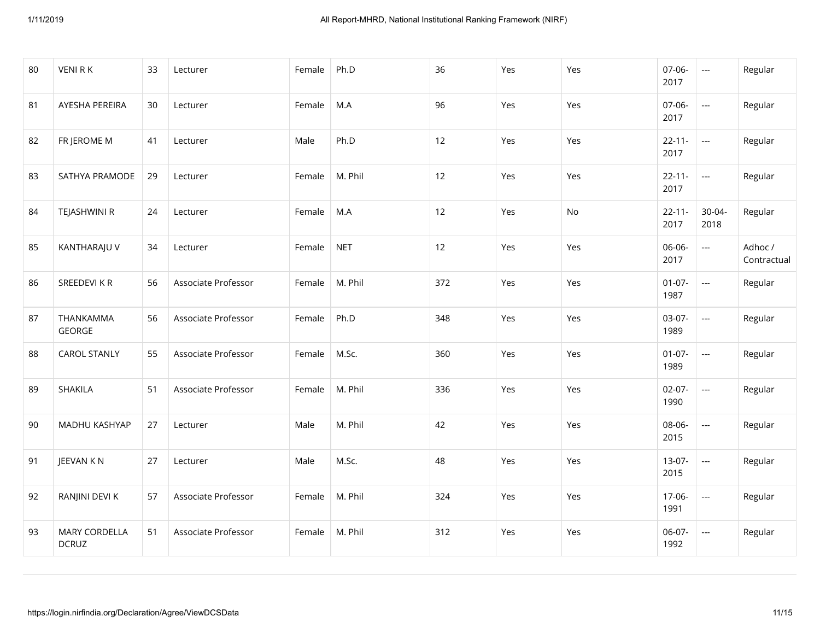| 80 | <b>VENIRK</b>                        | 33 | Lecturer            | Female | Ph.D       | 36  | Yes | Yes       | 07-06-<br>2017      | $\overline{a}$           | Regular                |
|----|--------------------------------------|----|---------------------|--------|------------|-----|-----|-----------|---------------------|--------------------------|------------------------|
| 81 | AYESHA PEREIRA                       | 30 | Lecturer            | Female | M.A        | 96  | Yes | Yes       | 07-06-<br>2017      | $\overline{\phantom{a}}$ | Regular                |
| 82 | FR JEROME M                          | 41 | Lecturer            | Male   | Ph.D       | 12  | Yes | Yes       | $22 - 11 -$<br>2017 | $\overline{\phantom{a}}$ | Regular                |
| 83 | SATHYA PRAMODE                       | 29 | Lecturer            | Female | M. Phil    | 12  | Yes | Yes       | $22 - 11 -$<br>2017 | $\overline{\phantom{a}}$ | Regular                |
| 84 | TEJASHWINI R                         | 24 | Lecturer            | Female | M.A        | 12  | Yes | <b>No</b> | $22 - 11 -$<br>2017 | 30-04-<br>2018           | Regular                |
| 85 | KANTHARAJU V                         | 34 | Lecturer            | Female | <b>NET</b> | 12  | Yes | Yes       | 06-06-<br>2017      | ---                      | Adhoc /<br>Contractual |
| 86 | SREEDEVI KR                          | 56 | Associate Professor | Female | M. Phil    | 372 | Yes | Yes       | $01-07-$<br>1987    | $\overline{a}$           | Regular                |
| 87 | THANKAMMA<br>GEORGE                  | 56 | Associate Professor | Female | Ph.D       | 348 | Yes | Yes       | 03-07-<br>1989      | $\overline{\phantom{a}}$ | Regular                |
| 88 | <b>CAROL STANLY</b>                  | 55 | Associate Professor | Female | M.Sc.      | 360 | Yes | Yes       | $01 - 07 -$<br>1989 | ---                      | Regular                |
| 89 | SHAKILA                              | 51 | Associate Professor | Female | M. Phil    | 336 | Yes | Yes       | $02 - 07 -$<br>1990 | $\overline{a}$           | Regular                |
| 90 | MADHU KASHYAP                        | 27 | Lecturer            | Male   | M. Phil    | 42  | Yes | Yes       | 08-06-<br>2015      | $\overline{\phantom{a}}$ | Regular                |
| 91 | JEEVAN KN                            | 27 | Lecturer            | Male   | M.Sc.      | 48  | Yes | Yes       | $13-07-$<br>2015    | ---                      | Regular                |
| 92 | RANJINI DEVI K                       | 57 | Associate Professor | Female | M. Phil    | 324 | Yes | Yes       | 17-06-<br>1991      | $\overline{a}$           | Regular                |
| 93 | <b>MARY CORDELLA</b><br><b>DCRUZ</b> | 51 | Associate Professor | Female | M. Phil    | 312 | Yes | Yes       | 06-07-<br>1992      | $\overline{\phantom{a}}$ | Regular                |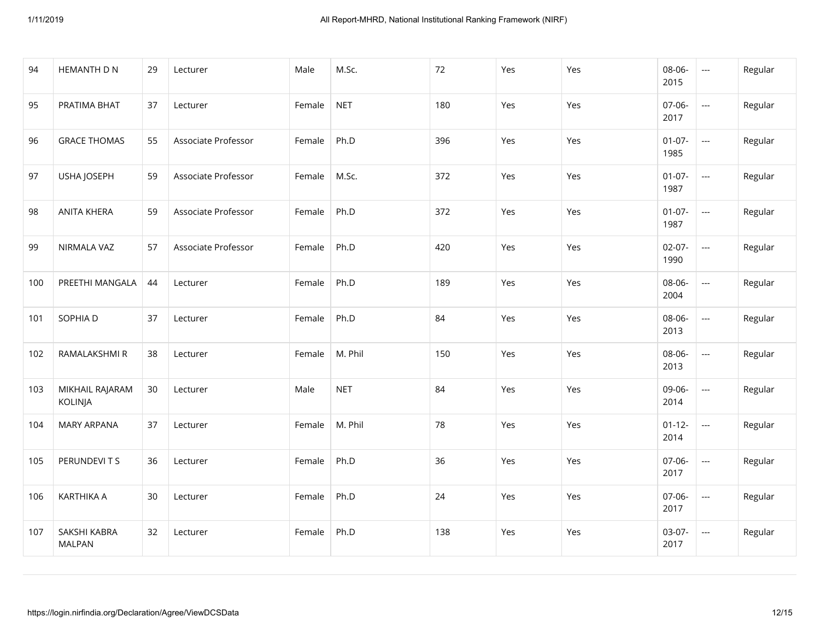| 94  | HEMANTH D N                   | 29 | Lecturer            | Male   | M.Sc.      | 72  | Yes | Yes | 08-06-<br>2015      | ---                                                                                            | Regular |
|-----|-------------------------------|----|---------------------|--------|------------|-----|-----|-----|---------------------|------------------------------------------------------------------------------------------------|---------|
| 95  | PRATIMA BHAT                  | 37 | Lecturer            | Female | <b>NET</b> | 180 | Yes | Yes | 07-06-<br>2017      | $\overline{\phantom{a}}$                                                                       | Regular |
| 96  | <b>GRACE THOMAS</b>           | 55 | Associate Professor | Female | Ph.D       | 396 | Yes | Yes | $01-07-$<br>1985    | $\overline{a}$                                                                                 | Regular |
| 97  | USHA JOSEPH                   | 59 | Associate Professor | Female | M.Sc.      | 372 | Yes | Yes | $01 - 07 -$<br>1987 | ---                                                                                            | Regular |
| 98  | <b>ANITA KHERA</b>            | 59 | Associate Professor | Female | Ph.D       | 372 | Yes | Yes | $01-07-$<br>1987    | $\frac{1}{2} \left( \frac{1}{2} \right) \left( \frac{1}{2} \right) \left( \frac{1}{2} \right)$ | Regular |
| 99  | NIRMALA VAZ                   | 57 | Associate Professor | Female | Ph.D       | 420 | Yes | Yes | $02 - 07 -$<br>1990 | $\overline{\phantom{a}}$                                                                       | Regular |
| 100 | PREETHI MANGALA               | 44 | Lecturer            | Female | Ph.D       | 189 | Yes | Yes | 08-06-<br>2004      | ---                                                                                            | Regular |
| 101 | SOPHIA D                      | 37 | Lecturer            | Female | Ph.D       | 84  | Yes | Yes | 08-06-<br>2013      | ---                                                                                            | Regular |
| 102 | RAMALAKSHMI R                 | 38 | Lecturer            | Female | M. Phil    | 150 | Yes | Yes | 08-06-<br>2013      | $\overline{a}$                                                                                 | Regular |
| 103 | MIKHAIL RAJARAM<br>KOLINJA    | 30 | Lecturer            | Male   | <b>NET</b> | 84  | Yes | Yes | 09-06-<br>2014      | ---                                                                                            | Regular |
| 104 | <b>MARY ARPANA</b>            | 37 | Lecturer            | Female | M. Phil    | 78  | Yes | Yes | $01 - 12 -$<br>2014 | ---                                                                                            | Regular |
| 105 | PERUNDEVITS                   | 36 | Lecturer            | Female | Ph.D       | 36  | Yes | Yes | $07 - 06 -$<br>2017 | ---                                                                                            | Regular |
| 106 | <b>KARTHIKA A</b>             | 30 | Lecturer            | Female | Ph.D       | 24  | Yes | Yes | 07-06-<br>2017      | $\overline{a}$                                                                                 | Regular |
| 107 | SAKSHI KABRA<br><b>MALPAN</b> | 32 | Lecturer            | Female | Ph.D       | 138 | Yes | Yes | $03-07-$<br>2017    | $\scriptstyle\cdots$                                                                           | Regular |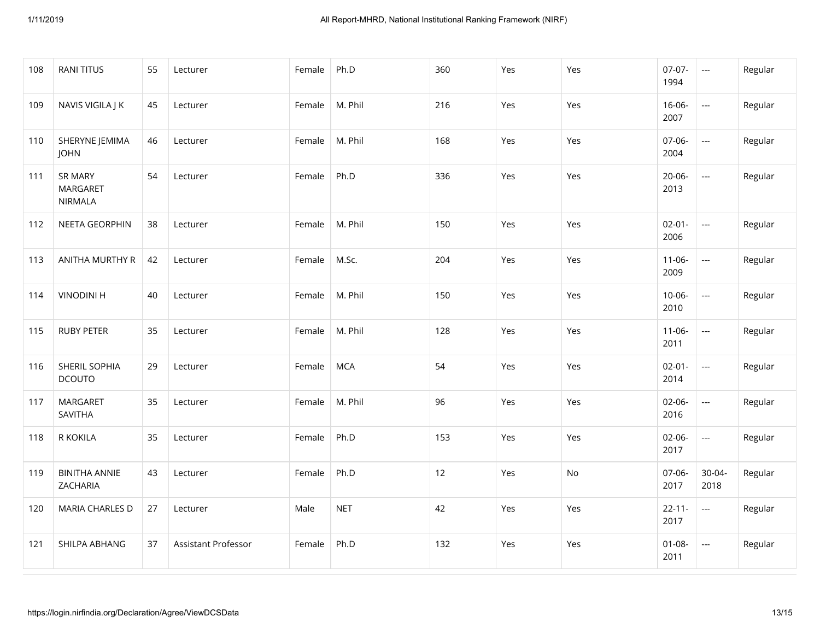| 108 | <b>RANI TITUS</b>                                   | 55 | Lecturer            | Female | Ph.D       | 360 | Yes | Yes | $07 - 07 -$<br>1994 | $\sim$                   | Regular |
|-----|-----------------------------------------------------|----|---------------------|--------|------------|-----|-----|-----|---------------------|--------------------------|---------|
| 109 | NAVIS VIGILA J K                                    | 45 | Lecturer            | Female | M. Phil    | 216 | Yes | Yes | $16 - 06 -$<br>2007 | $\overline{\phantom{a}}$ | Regular |
| 110 | SHERYNE JEMIMA<br><b>JOHN</b>                       | 46 | Lecturer            | Female | M. Phil    | 168 | Yes | Yes | 07-06-<br>2004      | $\hspace{0.05cm} \ldots$ | Regular |
| 111 | <b>SR MARY</b><br><b>MARGARET</b><br><b>NIRMALA</b> | 54 | Lecturer            | Female | Ph.D       | 336 | Yes | Yes | $20 - 06 -$<br>2013 | $\sim$                   | Regular |
| 112 | NEETA GEORPHIN                                      | 38 | Lecturer            | Female | M. Phil    | 150 | Yes | Yes | $02 - 01 -$<br>2006 | $\overline{\phantom{a}}$ | Regular |
| 113 | ANITHA MURTHY R                                     | 42 | Lecturer            | Female | M.Sc.      | 204 | Yes | Yes | $11-06-$<br>2009    | $\sim$                   | Regular |
| 114 | <b>VINODINI H</b>                                   | 40 | Lecturer            | Female | M. Phil    | 150 | Yes | Yes | $10 - 06 -$<br>2010 | $\overline{\phantom{a}}$ | Regular |
| 115 | <b>RUBY PETER</b>                                   | 35 | Lecturer            | Female | M. Phil    | 128 | Yes | Yes | $11 - 06 -$<br>2011 | $\overline{\phantom{a}}$ | Regular |
| 116 | SHERIL SOPHIA<br><b>DCOUTO</b>                      | 29 | Lecturer            | Female | <b>MCA</b> | 54  | Yes | Yes | $02 - 01 -$<br>2014 | $\overline{\phantom{a}}$ | Regular |
| 117 | <b>MARGARET</b><br>SAVITHA                          | 35 | Lecturer            | Female | M. Phil    | 96  | Yes | Yes | $02 - 06 -$<br>2016 | $\sim$                   | Regular |
| 118 | R KOKILA                                            | 35 | Lecturer            | Female | Ph.D       | 153 | Yes | Yes | $02 - 06 -$<br>2017 | $\sim$                   | Regular |
| 119 | <b>BINITHA ANNIE</b><br>ZACHARIA                    | 43 | Lecturer            | Female | Ph.D       | 12  | Yes | No  | 07-06-<br>2017      | $30 - 04 -$<br>2018      | Regular |
| 120 | MARIA CHARLES D                                     | 27 | Lecturer            | Male   | <b>NET</b> | 42  | Yes | Yes | $22 - 11 -$<br>2017 | $\sim$                   | Regular |
| 121 | SHILPA ABHANG                                       | 37 | Assistant Professor | Female | Ph.D       | 132 | Yes | Yes | $01 - 08 -$<br>2011 | $\hspace{0.05cm} \ldots$ | Regular |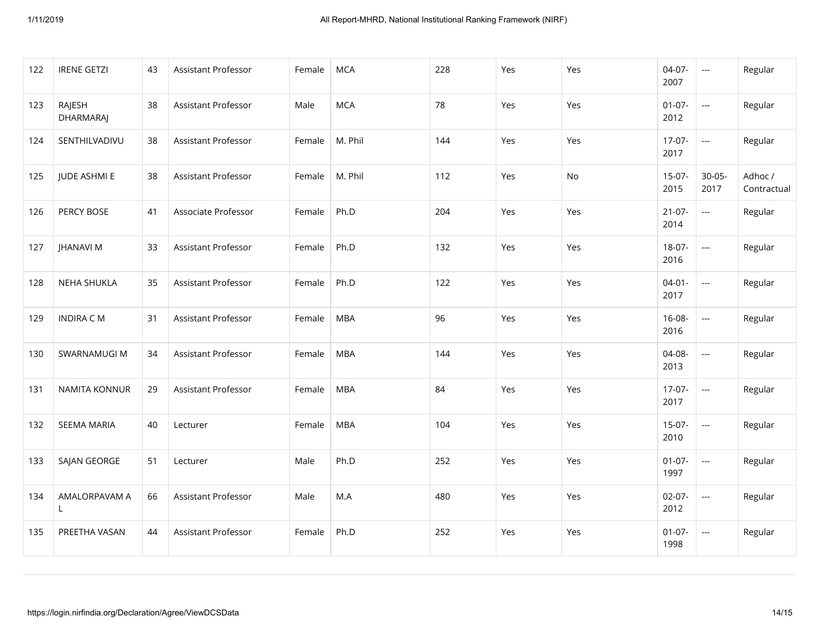| 122 | <b>IRENE GETZI</b>         | 43 | Assistant Professor        | Female | <b>MCA</b> | 228 | Yes | Yes | $04-07-$<br>2007    | $\sim$                   | Regular                |
|-----|----------------------------|----|----------------------------|--------|------------|-----|-----|-----|---------------------|--------------------------|------------------------|
| 123 | RAJESH<br><b>DHARMARAJ</b> | 38 | Assistant Professor        | Male   | <b>MCA</b> | 78  | Yes | Yes | $01-07-$<br>2012    | $\overline{\phantom{a}}$ | Regular                |
| 124 | SENTHILVADIVU              | 38 | Assistant Professor        | Female | M. Phil    | 144 | Yes | Yes | $17-07-$<br>2017    | $\overline{a}$           | Regular                |
| 125 | <b>JUDE ASHMI E</b>        | 38 | Assistant Professor        | Female | M. Phil    | 112 | Yes | No  | $15-07-$<br>2015    | $30 - 05 -$<br>2017      | Adhoc /<br>Contractual |
| 126 | PERCY BOSE                 | 41 | Associate Professor        | Female | Ph.D       | 204 | Yes | Yes | $21 - 07 -$<br>2014 | $\overline{a}$           | Regular                |
| 127 | <b>JHANAVI M</b>           | 33 | <b>Assistant Professor</b> | Female | Ph.D       | 132 | Yes | Yes | 18-07-<br>2016      | $\overline{a}$           | Regular                |
| 128 | NEHA SHUKLA                | 35 | Assistant Professor        | Female | Ph.D       | 122 | Yes | Yes | $04 - 01 -$<br>2017 | $\overline{\phantom{a}}$ | Regular                |
| 129 | <b>INDIRA CM</b>           | 31 | Assistant Professor        | Female | <b>MBA</b> | 96  | Yes | Yes | 16-08-<br>2016      | $\sim$                   | Regular                |
| 130 | SWARNAMUGI M               | 34 | <b>Assistant Professor</b> | Female | <b>MBA</b> | 144 | Yes | Yes | 04-08-<br>2013      | ---                      | Regular                |
| 131 | <b>NAMITA KONNUR</b>       | 29 | Assistant Professor        | Female | <b>MBA</b> | 84  | Yes | Yes | $17-07-$<br>2017    | $\sim$                   | Regular                |
| 132 | <b>SEEMA MARIA</b>         | 40 | Lecturer                   | Female | <b>MBA</b> | 104 | Yes | Yes | $15-07-$<br>2010    | $\overline{\phantom{a}}$ | Regular                |
| 133 | SAJAN GEORGE               | 51 | Lecturer                   | Male   | Ph.D       | 252 | Yes | Yes | $01-07-$<br>1997    | ---                      | Regular                |
| 134 | AMALORPAVAM A<br>L         | 66 | Assistant Professor        | Male   | M.A        | 480 | Yes | Yes | $02-07-$<br>2012    | $\sim$                   | Regular                |
| 135 | PREETHA VASAN              | 44 | Assistant Professor        | Female | Ph.D       | 252 | Yes | Yes | $01-07-$<br>1998    | $\overline{\phantom{a}}$ | Regular                |